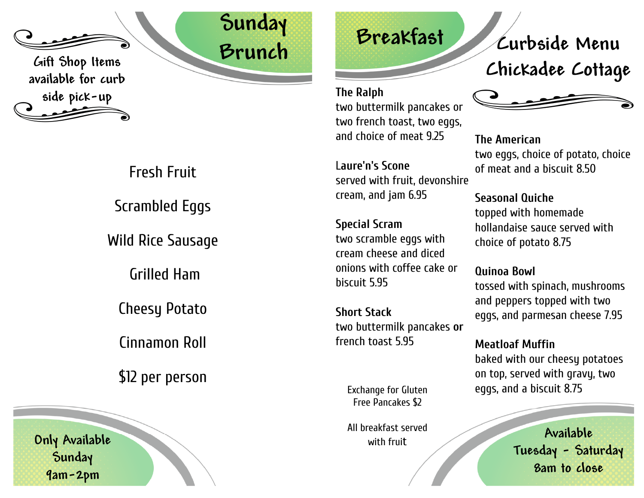

Gift Shop Items available for curb side pick-up

> Fresh Fruit Scrambled Eggs Wild Rice Sausage Grilled Ham

Cheesy Potato

Cinnamon Roll

\$12 per person

Only Available **Sunday** 9am-2pm



**The Ralph** two buttermilk pancakes or two french toast, two eggs, and choice of meat 9.25

L**aure'n's Scone** served with fruit, devonshire cream, and jam 6.95

**Special Scram** two scramble eggs with cream cheese and diced onions with coffee cake or biscuit 5.95

**Short Stack** two buttermilk pancakes **or** french toast 5.95

> Exchange for Gluten Free Pancakes \$2

> All breakfast served with frui t

Curbside Menu Chickadee Cottage



**The American** two eggs, choice of potato, choice of meat and a biscuit 8.50

**Seasonal Quiche** topped with homemade hollandaise sauce served with choice of potato 8.75

**Quinoa Bowl** tossed with spinach, mushrooms and peppers topped with two eggs, and parmesan cheese 7.95

**Meatloaf Muffin** baked with our cheesy potatoes on top, served with gravy, two eggs, and a biscuit 8.75

> Available Tuesday - Saturday 8am to close